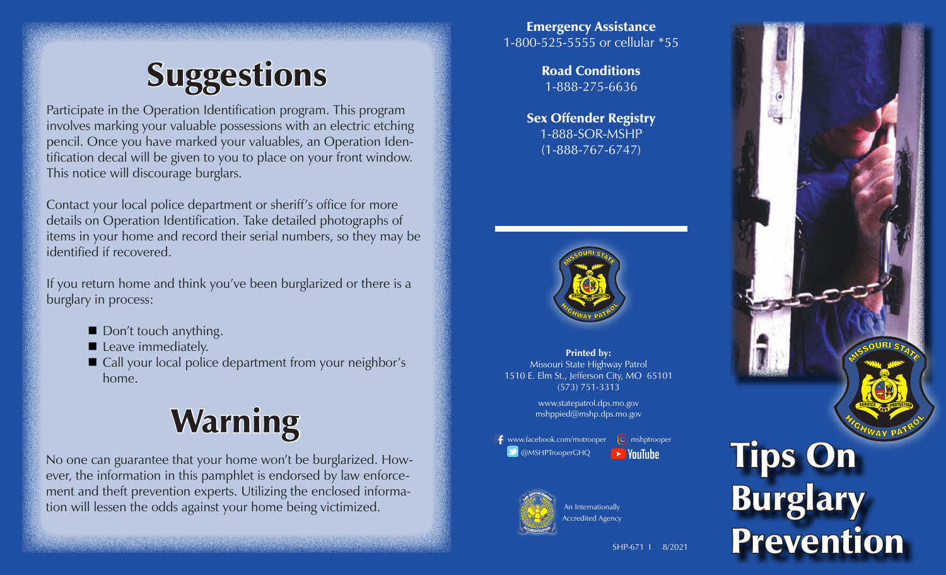# **Suggestions**

Participate in the Operation Identification program. This program involves marking your valuable possessions with an electric etching pencil. Once you have marked your valuables, an Operation Identification decal will be given to you to place on your front window. This notice will discourage burglars.

Contact your local police department or sheriff's office for more details on Operation Identification. Take detailed photographs of items in your home and record their serial numbers, so they may be identified if recovered.

If you return home and think you've been burglarized or there is a burglary in process:

- Don't touch anything.
- Leave immediately.
- Call your local police department from your neighbor's home.

# Warning

No one can guarantee that your home won't be burglarized. However, the information in this pamphlet is endorsed by law enforcement and theft prevention experts. Utilizing the enclosed information will lessen the odds against your home being victimized.

Emergency Assistance 1-800-525-5555 or cellular \*55

> Road Conditions 1-888-275-6636

Sex Offender Registry 1-888-SOR-MSHP (1-888-767-6747)



**Printed by:** Missouri State Highway Patrol 1510 E. Elm St., Jefferson City, MO 65101 (573) 751-3313

> www.statepatrol.dps.mo.gov mshppied@mshp.dps.mo.gov

 $\bigoplus$  www.facebook.com/motrooper  $\bigodot$  mshptrooper **@MSHPTrooperGHQ**  $\rightarrow$  YouTube



An Internationally ccredited Agency

Tips On **Burglary** Prevention